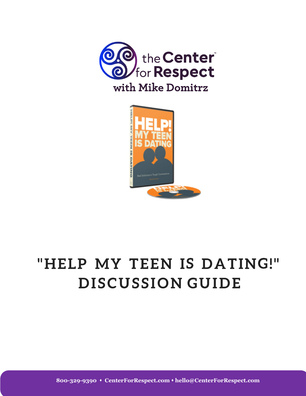



**800-329-9390** s **CenterForRespect.com** s **hello@CenterForRespect.com**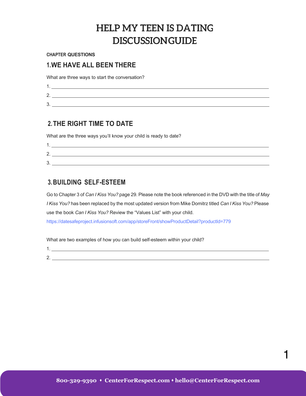**CHAPTER QUESTIONS**

#### **1.WE HAVE ALL BEEN THERE**

What are three ways to start the conversation?

| ⌒<br><u>.</u> |  |
|---------------|--|
| ⌒<br>ັ        |  |

### **2.THE RIGHT TIME TO DATE**

What are the three ways you'll know your child is ready to date?

| <u>.</u> |  |
|----------|--|
| ັ        |  |

### **3.BUILDING SELF-ESTEEM**

Go to Chapter 3 of *Can I Kiss You?* page 29. Please note the book referenced in the DVD with the title of *May I Kiss You?* has been replaced by the most updated version from Mike Domitrz titled *Can I Kiss You?* Please use the book *Can I Kiss You?* Review the "Values List" with your child.

https://datesafeproject.infusionsoft.com/app/storeFront/showProductDetail?productId=779

What are two examples of how you can build self-esteem within your child?

2.

1.

1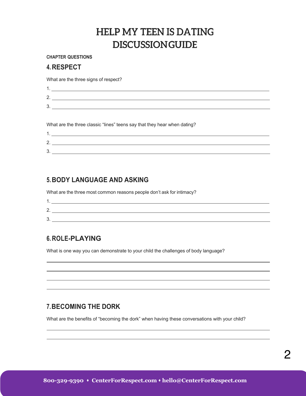#### **CHAPTER QUESTIONS**

#### **4.RESPECT**

What are the three signs of respect?

| $\sqrt{2}$<br>-               |  |
|-------------------------------|--|
| c<br>$\overline{\phantom{a}}$ |  |

What are the three classic "lines" teens say that they hear when dating?

| . .           |  |
|---------------|--|
| ⌒<br><u>.</u> |  |
| ⌒<br>ັ        |  |

### **5.BODY LANGUAGE AND ASKING**

What are the three most common reasons people don't ask for intimacy?

| $\sqrt{2}$<br>. . |  |
|-------------------|--|
| c<br>v            |  |

### **6. ROLE-PLAYING**

What is one way you can demonstrate to your child the challenges of body language?

### **7.BECOMING THE DORK**

What are the benefits of "becoming the dork" when having these conversations with your child?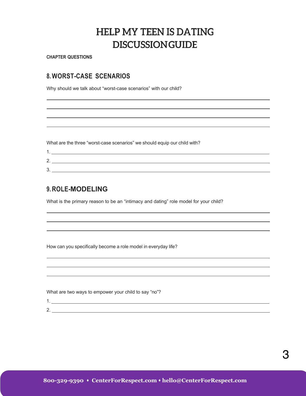**CHAPTER QUESTIONS**

### **8. WORST-CASE SCENARIOS**

Why should we talk about "worst-case scenarios" with our child?

What are the three "worst-case scenarios" we should equip our child with?

| £<br>- |  |
|--------|--|
| £<br>L |  |

### **9. ROLE-MODELING**

What is the primary reason to be an "intimacy and dating" role model for your child?

How can you specifically become a role model in everyday life?

What are two ways to empower your child to say "no"?

1.

2.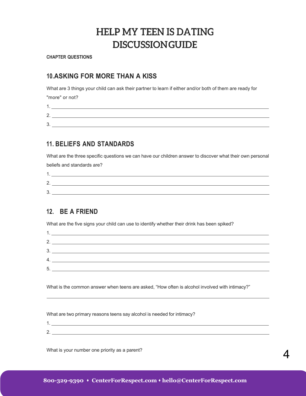**CHAPTER QUESTIONS**

### **10.ASKING FOR MORE THAN A KISS**

What are 3 things your child can ask their partner to learn if either and/or both of them are ready for

"more" or not?

1. 2.

3.

### **11. BELIEFS AND STANDARDS**

What are the three specific questions we can have our children answer to discover what their own personal beliefs and standards are?

| ⌒<br><u>.</u> |  |
|---------------|--|
| ⌒<br>ີ        |  |

### **12. BE A FRIEND**

What are the five signs your child can use to identify whether their drink has been spiked?

|         | <u> 1989 - Johann Harry Harry Harry Harry Harry Harry Harry Harry Harry Harry Harry Harry Harry Harry Harry Harry</u> |
|---------|-----------------------------------------------------------------------------------------------------------------------|
| っ       |                                                                                                                       |
| っ<br>J. |                                                                                                                       |
| 4.      | <u> 1980 - Jan Sterling von Berger von Berger von Berger von Berger von Berger von Berger von Berger von Berger</u>   |
| 5.      |                                                                                                                       |
|         |                                                                                                                       |

What is the common answer when teens are asked, "How often is alcohol involved with intimacy?"

What are two primary reasons teens say alcohol is needed for intimacy?

What is your number one priority as a parent?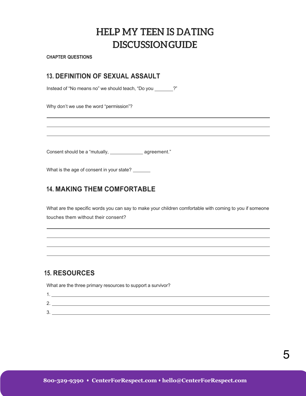**CHAPTER QUESTIONS**

### **13. DEFINITION OF SEXUAL ASSAULT**

Instead of "No means no" we should teach, "Do you \_\_\_\_\_\_\_?"

Why don't we use the word "permission"?

Consent should be a "mutually, \_\_\_\_\_\_\_\_\_\_\_\_\_\_\_\_\_\_\_\_\_\_ agreement."

What is the age of consent in your state?

### **14. MAKING THEM COMFORTABLE**

What are the specific words you can say to make your children comfortable with coming to you if someone touches them without their consent?

### **15. RESOURCES**

What are the three primary resources to support a survivor?

| ⌒<br><u>.</u> |  |
|---------------|--|
| ว<br>J.       |  |

5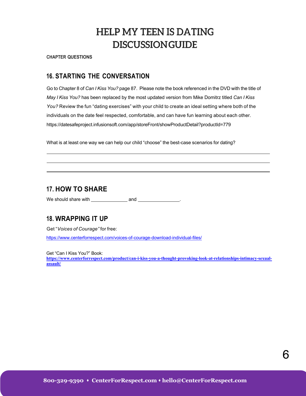**CHAPTER QUESTIONS**

#### **16. STARTING THE CONVERSATION**

Go to Chapter 8 of *Can I Kiss You?* page 87. Please note the book referenced in the DVD with the title of *May I Kiss You?* has been replaced by the most updated version from Mike Domitrz titled *Can I Kiss You?* Review the fun "dating exercises" with your child to create an ideal setting where both of the individuals on the date feel respected, comfortable, and can have fun learning about each other. https://datesafeproject.infusionsoft.com/app/storeFront/showProductDetail?productId=779

What is at least one way we can help our child "choose" the best-case scenarios for dating?

#### **17. HOW TO SHARE**

We should share with and .

#### **18. WRAPPING IT UP**

Get "*Voices of Courage"* for free:

https://www.centerforrespect.com/voices-of-courage-download-individual-files/

Get "Can I Kiss You?" Book:

**https://www.centerforrespect.com/product/can-i-kiss-you-a-thought-provoking-look-at-relationships-intimacy-sexualassault/**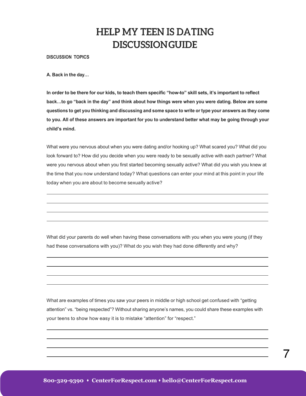**DISCUSSION TOPICS**

**A. Back in the day…**

In order to be there for our kids, to teach them specific "how-to" skill sets, it's important to reflect **back…to go "back in the day" and think about how things were when you were dating. Below are some**  questions to get you thinking and discussing and some space to write or type your answers as they come **to you. All of these answers are important for you to understand better what may be going through your child's mind.**

What were you nervous about when you were dating and/or hooking up? What scared you? What did you look forward to? How did you decide when you were ready to be sexually active with each partner? What were you nervous about when you first started becoming sexually active? What did you wish you knew at the time that you now understand today? What questions can enter your mind at this point in your life today when you are about to become sexually active?

What did your parents do well when having these conversations with you when you were young (if they had these conversations with you)? What do you wish they had done differently and why?

What are examples of times you saw your peers in middle or high school get confused with "getting attention" vs. "being respected"? Without sharing anyone's names, you could share these examples with your teens to show how easy it is to mistake "attention" for "respect."

7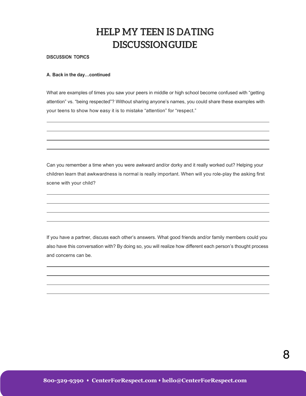#### **DISCUSSION TOPICS**

#### **A. Back in the day…continued**

What are examples of times you saw your peers in middle or high school become confused with "getting attention" vs. "being respected"? Without sharing anyone's names, you could share these examples with your teens to show how easy it is to mistake "attention" for "respect."

Can you remember a time when you were awkward and/or dorky and it really worked out? Helping your children learn that awkwardness is normal is really important. When will you role-play the asking first scene with your child?

If you have a partner, discuss each other's answers. What good friends and/or family members could you also have this conversation with? By doing so, you will realize how different each person's thought process and concerns can be.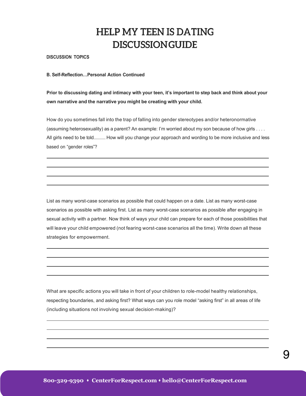**DISCUSSION TOPICS**

#### **B. Self-Reflection…Personal Action Continued**

**Prior to discussing dating and intimacy with your teen, it's important to step back and think about your own narrative and the narrative you might be creating with your child.**

How do you sometimes fall into the trap of falling into gender stereotypes and/or heteronormative (assuming heterosexuality) as a parent? An example: I'm worried about my son because of how girls . . . . All girls need to be told.......... How will you change your approach and wording to be more inclusive and less based on "gender roles"?

List as many worst-case scenarios as possible that could happen on a date. List as many worst-case scenarios as possible with asking first. List as many worst-case scenarios as possible after engaging in sexual activity with a partner. Now think of ways your child can prepare for each of those possibilities that will leave your child empowered (not fearing worst-case scenarios all the time). Write down all these strategies for empowerment.

What are specific actions you will take in front of your children to role-model healthy relationships, respecting boundaries, and asking first? What ways can you role model "asking first" in all areas of life (including situations not involving sexual decision-making)?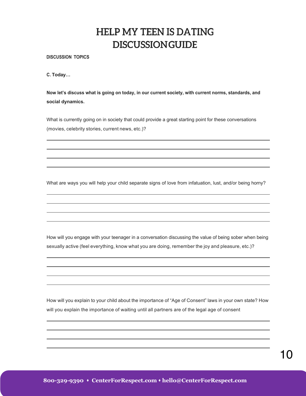**DISCUSSION TOPICS**

**C. Today…**

**Now let's discuss what is going on today, in our current society, with current norms, standards, and social dynamics.**

What is currently going on in society that could provide a great starting point for these conversations (movies, celebrity stories, current news, etc.)?

What are ways you will help your child separate signs of love from infatuation, lust, and/or being horny?

How will you engage with your teenager in a conversation discussing the value of being sober when being sexually active (feel everything, know what you are doing, remember the joy and pleasure, etc.)?

How will you explain to your child about the importance of "Age of Consent" laws in your own state? How will you explain the importance of waiting until all partners are of the legal age of consent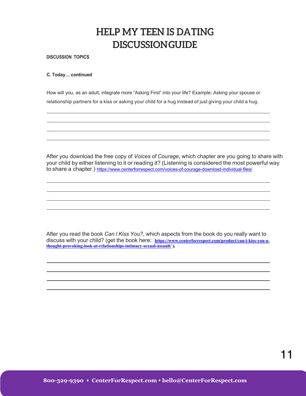**DISCUSSION TOPICS**

#### **C. Today… continued**

How will you, as an adult, integrate more "Asking First" into your life? Example: Asking your spouse or relationship partners for a kiss or asking your child for a hug instead of just giving your child a hug.

After you download the free copy of *Voices of Courage*, which chapter are you going to share with your child by either listening to it or reading it? (Listening is considered the most powerful way to share a chapter.) https://www.centerforrespect.com/voices-of-courage-download-individual-files/

After you read the book *Can I Kiss You?*, which aspects from the book do you really want to discuss with your child? (get the book here: https://www.centerforrespect.com/product/can-i-kiss-you-a**thought-provoking-look-at-relationships-intimacy-sexual-assault/ ).**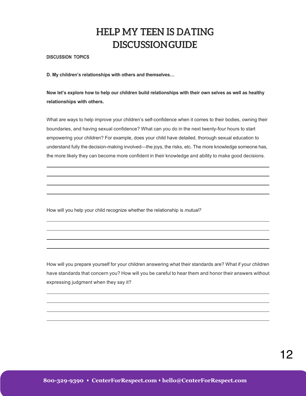**DISCUSSION TOPICS**

**D. My children's relationships with others and themselves…**

**Now let's explore how to help our children build relationships with their own selves as well as healthy relationships with others.**

What are ways to help improve your children's self-confidence when it comes to their bodies, owning their boundaries, and having sexual confidence? What can you do in the next twenty-four hours to start empowering your children? For example, does your child have detailed, thorough sexual education to understand fully the decision-making involved—the joys, the risks, etc. The more knowledge someone has, the more likely they can become more confident in their knowledge and ability to make good decisions.

How will you help your child recognize whether the relationship is *mutual?*

How will you prepare yourself for your children answering what their standards are? What if your children have standards that concern you? How will you be careful to hear them and honor their answers without expressing judgment when they say it?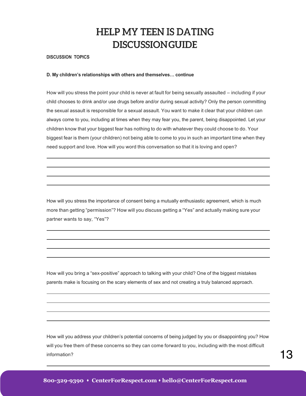#### **DISCUSSION TOPICS**

#### **D. My children's relationships with others and themselves… continue**

How will you stress the point your child is never at fault for being sexually assaulted – including if your child chooses to drink and/or use drugs before and/or during sexual activity? Only the person committing the sexual assault is responsible for a sexual assault. You want to make it clear that your children can always come to you, including at times when they may fear you, the parent, being disappointed. Let your children know that your biggest fear has nothing to do with whatever they could choose to do. Your biggest fear is them (your children) not being able to come to you in such an important time when they need support and love. How will you word this conversation so that it is loving and open?

How will you stress the importance of consent being a mutually enthusiastic agreement, which is much more than getting "permission"? How will you discuss getting a "Yes" and actually making sure your partner wants to say, "Yes"?

How will you bring a "sex-positive" approach to talking with your child? One of the biggest mistakes parents make is focusing on the scary elements of sex and not creating a truly balanced approach.

How will you address your children's potential concerns of being judged by you or disappointing you? How will you free them of these concerns so they can come forward to you, including with the most difficult information?  $13$ 

 $\mathcal{L}_\mathcal{L} = \mathcal{L}_\mathcal{L} = \mathcal{L}_\mathcal{L} = \mathcal{L}_\mathcal{L} = \mathcal{L}_\mathcal{L} = \mathcal{L}_\mathcal{L} = \mathcal{L}_\mathcal{L} = \mathcal{L}_\mathcal{L} = \mathcal{L}_\mathcal{L} = \mathcal{L}_\mathcal{L} = \mathcal{L}_\mathcal{L} = \mathcal{L}_\mathcal{L} = \mathcal{L}_\mathcal{L} = \mathcal{L}_\mathcal{L} = \mathcal{L}_\mathcal{L} = \mathcal{L}_\mathcal{L} = \mathcal{L}_\mathcal{L}$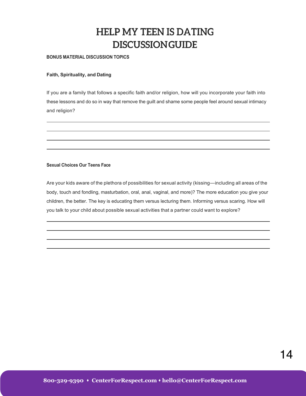#### **BONUS MATERIAL DISCUSSION TOPICS**

#### **Faith, Spirituality, and Dating**

If you are a family that follows a specific faith and/or religion, how will you incorporate your faith into these lessons and do so in way that remove the guilt and shame some people feel around sexual intimacy and religion?

#### **Sexual Choices Our Teens Face**

Are your kids aware of the plethora of possibilities for sexual activity (kissing—including all areas of the body, touch and fondling, masturbation, oral, anal, vaginal, and more)? The more education you give your children, the better. The key is educating them versus lecturing them. Informing versus scaring. How will you talk to your child about possible sexual activities that a partner could want to explore?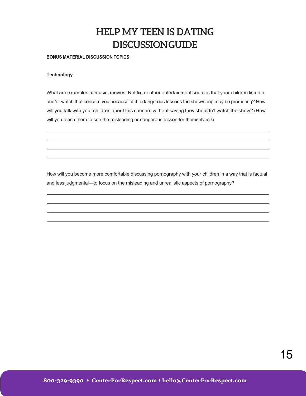#### **BONUS MATERIAL DISCUSSION TOPICS**

#### **Technology**

What are examples of music, movies, Netflix, or other entertainment sources that your children listen to and/or watch that concern you because of the dangerous lessons the show/song may be promoting? How will you talk with your children about this concern without saying they shouldn't watch the show? (How will you teach them to see the misleading or dangerous lesson for themselves?)

How will you become more comfortable discussing pornography with your children in a way that is factual and less judgmental—to focus on the misleading and unrealistic aspects of pornography?